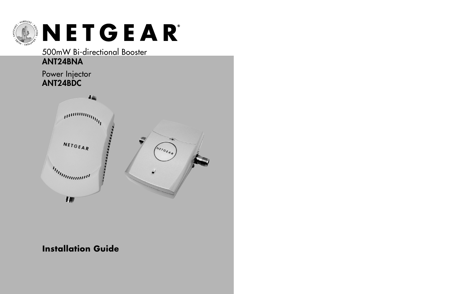

500mW Bi-directional Booster

# **ANT24BNA**

## Power Injector **ANT24BDC**



## **Installation Guide**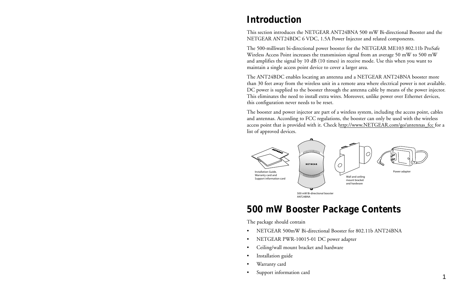# **Introduction**

This section introduces the NETGEAR ANT24BNA 500 mW Bi-directional Booster and the NETGEAR ANT24BDC 6 VDC, 1.5A Power Injector and related components.

The 500-milliwatt bi-directional power booster for the NETGEAR ME103 802.11b ProSafe Wireless Access Point increases the transmission signal from an average 50 mW to 500 mW and amplifies the signal by 10 dB (10 times) in receive mode. Use this when you want to maintain a single access point device to cover a larger area.

The ANT24BDC enables locating an antenna and a NETGEAR ANT24BNA booster more than 30 feet away from the wireless unit in a remote area where electrical power is not available. DC power is supplied to the booster through the antenna cable by means of the power injector. This eliminates the need to install extra wires. Moreover, unlike power over Ethernet devices, this configuration never needs to be reset.

The booster and power injector are part of a wireless system, including the access point, cables and antennas. According to FCC regulations, the booster can only be used with the wireless access point that is provided with it. Check http://www.NETGEAR.com/go/antennas\_fcc for a list of approved devices.



# **500 mW Booster Package Contents**

The package should contain

- NETGEAR 500mW Bi-directional Booster for 802.11b ANT24BNA
- NETGEAR PWR-10015-01 DC power adapter
- Ceiling/wall mount bracket and hardware
- Installation guide
- Warranty card
- Support information card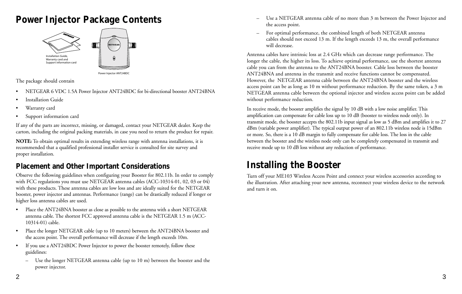# **Power Injector Package Contents**



### The package should contain

- NETGEAR 6 VDC 1.5A Power Injector ANT24BDC for bi-directional booster ANT24BNA
- Installation Guide
- Warranty card
- Support information card

If any of the parts are incorrect, missing, or damaged, contact your NETGEAR dealer. Keep the carton, including the original packing materials, in case you need to return the product for repair.

**NOTE:** To obtain optimal results in extending wireless range with antenna installations, it is recommended that a qualified professional installer service is consulted for site survey and proper installation.

## **Placement and Other Important Considerations**

Observe the following guidelines when configuring your Booster for 802.11b. In order to comply with FCC regulations you must use NETGEAR antenna cables (ACC-10314-01, 02, 03 or 04) with these products. These antenna cables are low loss and are ideally suited for the NETGEAR booster, power injector and antennas. Performance (range) can be drastically reduced if longer or higher loss antenna cables are used.

- Place the ANT24BNA booster as close as possible to the antenna with a short NETGEAR antenna cable. The shortest FCC approved antenna cable is the NETGEAR 1.5 m (ACC-10314-01) cable.
- Place the longer NETGEAR cable (up to 10 meters) between the ANT24BNA booster and the access point. The overall performance will decrease if the length exceeds 10m.
- If you use a ANT24BDC Power Injector to power the booster remotely, follow these guidelines:
	- Use the longer NETGEAR antenna cable (up to 10 m) between the booster and the power injector.
- Use a NETGEAR antenna cable of no more than 3 m between the Power Injector and the access point.
- For optimal performance, the combined length of both NETGEAR antenna cables should not exceed 13 m. If the length exceeds 13 m, the overall performance will decrease.

Antenna cables have intrinsic loss at 2.4 GHz which can decrease range performance. The longer the cable, the higher its loss. To achieve optimal performance, use the shortest antenna cable you can from the antenna to the ANT24BNA booster. Cable loss between the booster ANT24BNA and antenna in the transmit and receive functions cannot be compensated. However, the NETGEAR antenna cable between the ANT24BNA booster and the wireless access point can be as long as 10 m without performance reduction. By the same token, a 3 m NETGEAR antenna cable between the optional injector and wireless access point can be added without performance reduction.

In receive mode, the booster amplifies the signal by 10 dB with a low noise amplifier. This amplification can compensate for cable loss up to 10 dB (booster to wireless node only). In transmit mode, the booster accepts the 802.11b input signal as low as 5 dBm and amplifies it to 27 dBm (variable power amplifier). The typical output power of an 802.11b wireless node is 15dBm or more. So, there is a 10 dB margin to fully compensate for cable loss. The loss in the cable between the booster and the wireless node only can be completely compensated in transmit and receive mode up to 10 dB loss without any reduction of performance.

# **Installing the Booster**

Turn off your ME103 Wireless Access Point and connect your wireless accessories according to the illustration. After attaching your new antenna, reconnect your wireless device to the network and turn it on.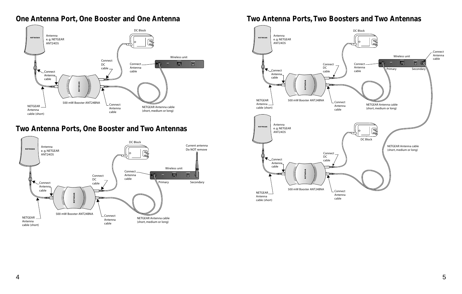

## **Two Antenna Ports, One Booster and Two Antennas**



## **One Antenna Port, One Booster and One Antenna Two Antenna Ports,Two Boosters and Two Antennas**

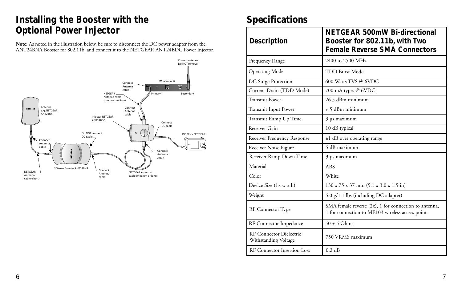# **Installing the Booster with the Specifications Optional Power Injector**

**Note:** As noted in the illustration below, be sure to disconnect the DC power adapter from the ANT24BNA Booster for 802.11b, and connect it to the NETGEAR ANT24BDC Power Injector.



| <b>Description</b>                              | <b>NETGEAR 500mW Bi-directional</b><br>Booster for 802.11b, with Two<br><b>Female Reverse SMA Connectors</b> |
|-------------------------------------------------|--------------------------------------------------------------------------------------------------------------|
| Frequency Range                                 | 2400 to 2500 MHz                                                                                             |
| <b>Operating Mode</b>                           | <b>TDD Burst Mode</b>                                                                                        |
| DC Surge Protection                             | 600 Watts TVS @ 6VDC                                                                                         |
| Current Drain (TDD Mode)                        | 700 mA type. @ 6VDC                                                                                          |
| <b>Transmit Power</b>                           | 26.5 dBm minimum                                                                                             |
| Transmit Input Power                            | + 5 dBm minimum                                                                                              |
| Transmit Ramp Up Time                           | 3 µs maximum                                                                                                 |
| Receiver Gain                                   | 10 dB typical                                                                                                |
| Receiver Frequency Response                     | ±1 dB over operating range                                                                                   |
| Receiver Noise Figure                           | 5 dB maximum                                                                                                 |
| Receiver Ramp Down Time                         | 3 µs maximum                                                                                                 |
| Material                                        | <b>ABS</b>                                                                                                   |
| Color                                           | White                                                                                                        |
| Device Size (l x w x h)                         | 130 x 75 x 37 mm (5.1 x 3.0 x 1.5 in)                                                                        |
| Weight                                          | 5.0 g/1.1 lbs (including DC adapter)                                                                         |
| RF Connector Type                               | SMA female reverse (2x), 1 for connection to antenna,<br>1 for connection to ME103 wireless access point     |
| RF Connector Impedance                          | $50 \pm 5$ Ohms                                                                                              |
| RF Connector Dielectric<br>Withstanding Voltage | 750 VRMS maximum                                                                                             |
| RF Connector Insertion Loss                     | 0.2 dB                                                                                                       |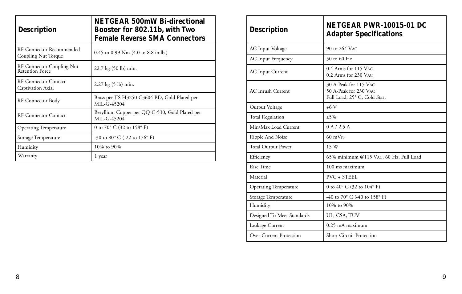| <b>Description</b>                                  | <b>NETGEAR 500mW Bi-directional</b><br>Booster for 802.11b, with Two<br><b>Female Reverse SMA Connectors</b> |
|-----------------------------------------------------|--------------------------------------------------------------------------------------------------------------|
| RF Connector Recommended<br>Coupling Nut Torque     | $0.45$ to 0.99 Nm $(4.0 \text{ to } 8.8 \text{ in.} \text{lb.})$                                             |
| RF Connector Coupling Nut<br><b>Retention Force</b> | 22.7 kg (50 lb) min.                                                                                         |
| <b>RF Connector Contact</b><br>Captivation Axial    | 2.27 kg (5 lb) min.                                                                                          |
| RF Connector Body                                   | Brass per JIS H3250 C3604 BD, Gold Plated per<br>MIL-G-45204                                                 |
| <b>RF Connector Contact</b>                         | Beryllium Copper per QQ-C-530, Gold Plated per<br>MIL-G-45204                                                |
| <b>Operating Temperature</b>                        | 0 to 70° C (32 to 158° F)                                                                                    |
| Storage Temperature                                 | -30 to 80 $^{\circ}$ C (-22 to 176 $^{\circ}$ F)                                                             |
| Humidity                                            | 10% to 90%                                                                                                   |
| Warranty                                            | 1 year                                                                                                       |

| <b>Description</b>           | NETGEAR PWR-10015-01 DC<br><b>Adapter Specifications</b>                       |
|------------------------------|--------------------------------------------------------------------------------|
| AC Input Voltage             | 90 to 264 VAC                                                                  |
| <b>AC</b> Input Frequency    | $50$ to 60 Hz                                                                  |
| <b>AC</b> Input Current      | 0.4 Arms for 115 VAC<br>0.2 Arms for 230 VAC                                   |
| <b>AC</b> Inrush Current     | 30 A-Peak for 115 VAC<br>50 A-Peak for 230 VAC<br>Full Load, 25° C, Cold Start |
| Output Voltage               | $+6V$                                                                          |
| <b>Total Regulation</b>      | $±5\%$                                                                         |
| Min/Max Load Current         | 0 A / 2.5 A                                                                    |
| Ripple And Noise             | $60 \text{ mVPP}$                                                              |
| <b>Total Output Power</b>    | 15 W                                                                           |
| Efficiency                   | 65% minimum @115 VAC, 60 Hz, Full Load                                         |
| Rise Time                    | 100 ms maximum                                                                 |
| Material                     | PVC + STEEL                                                                    |
| <b>Operating Temperature</b> | 0 to 40 $^{\circ}$ C (32 to 104 $^{\circ}$ F)                                  |
| Storage Temperature          | -40 to 70 $^{\circ}$ C (-40 to 158 $^{\circ}$ F)                               |
| Humidity                     | 10% to 90%                                                                     |
| Designed To Meet Standards   | UL, CSA, TUV                                                                   |
| Leakage Current              | 0.25 mA maximum                                                                |
| Over Current Protection      | <b>Short Circuit Protection</b>                                                |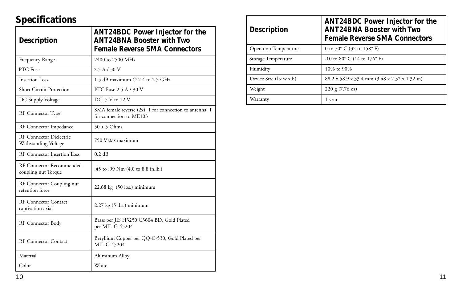# **Specifications**

| <b>Description</b>                                     | <b>ANT24BDC Power Injector for the</b><br><b>ANT24BNA Booster with Two</b><br><b>Female Reverse SMA Connectors</b> |
|--------------------------------------------------------|--------------------------------------------------------------------------------------------------------------------|
| Frequency Range                                        | 2400 to 2500 MHz                                                                                                   |
| PTC Fuse                                               | 2.5 A / 30 V                                                                                                       |
| Insertion Loss                                         | 1.5 dB maximum @ 2.4 to 2.5 GHz                                                                                    |
| <b>Short Circuit Protection</b>                        | PTC Fuse 2.5 A / 30 V                                                                                              |
| DC Supply Voltage                                      | DC, 5 V to 12 V                                                                                                    |
| RF Connector Type                                      | SMA female reverse (2x), 1 for connection to antenna, 1<br>for connection to ME103                                 |
| RF Connector Impedance                                 | $50 \pm 5$ Ohms                                                                                                    |
| <b>RF Connector Dielectric</b><br>Withstanding Voltage | 750 VRMS maximum                                                                                                   |
| RF Connector Insertion Loss                            | 0.2 dB                                                                                                             |
| RF Connector Recommended<br>coupling nut Torque        | .45 to .99 Nm (4.0 to 8.8 in.lb.)                                                                                  |
| RF Connector Coupling nut<br>retention force           | $22.68 \text{ kg}$ (50 lbs.) minimum                                                                               |
| <b>RF Connector Contact</b><br>captivation axial       | $2.27 \text{ kg}$ (5 lbs.) minimum                                                                                 |
| RF Connector Body                                      | Brass per JIS H3250 C3604 BD, Gold Plated<br>per MIL-G-45204                                                       |
| <b>RF Connector Contact</b>                            | Beryllium Copper per QQ-C-530, Gold Plated per<br>MIL-G-45204                                                      |
| Material                                               | Aluminum Alloy                                                                                                     |
| Color                                                  | White                                                                                                              |

| <b>Description</b>           | <b>ANT24BDC Power Injector for the</b><br><b>ANT24BNA Booster with Two</b><br><b>Female Reverse SMA Connectors</b> |
|------------------------------|--------------------------------------------------------------------------------------------------------------------|
| <b>Operation Temperature</b> | 0 to $70^{\circ}$ C (32 to 158 $^{\circ}$ F)                                                                       |
| Storage Temperature          | $-10$ to $80^{\circ}$ C (14 to 176 $^{\circ}$ F)                                                                   |
| Humidity                     | 10\% to 90\%                                                                                                       |
| Device Size (l x w x h)      | 88.2 x 58.9 x 33.4 mm (3.48 x 2.32 x 1.32 in)                                                                      |
| Weight                       | $220 \text{ g} (7.76 \text{ oz})$                                                                                  |
| Warranty                     | 1 year                                                                                                             |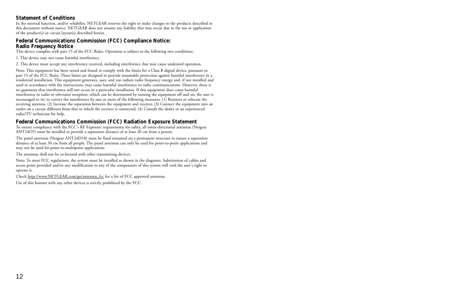#### **Statement of Conditions**

In the internal function, and/or reliability, NETGEAR reserves the right to make changes to the products described in this document without notice. NETGEAR does not assume any liability that may occur due to the use or application of the product(s) or circuit layout(s) described herein.

#### **Federal Communications Commission (FCC) Compliance Notice: Radio Frequency Notice**

This device complies with part 15 of the FCC Rules. Operation is subject to the following two conditions:

1. This device may not cause harmful interference.

2. This device must accept any interference received, including interference that may cause undesired operation.

Note: This equipment has been tested and found to comply with the limits for a Class B digital device, pursuant to part 15 of the FCC Rules. These limits are designed to provide reasonable protection against harmful interference in a residential installation. This equipment generates, uses, and can radiate radio frequency energy and, if not installed and used in accordance with the instructions, may cause harmful interference to radio communications. However, there is no guarantee that interference will not occur in a particular installation. If this equipment does cause harmful interference to radio or television reception, which can be determined by turning the equipment off and on, the user is encouraged to try to correct the interference by one or more of the following measures: (1) Reorient or relocate the receiving antenna, (2) Increase the separation between the equipment and receiver, (3) Connect the equipment into an outlet on a circuit different from that to which the receiver is connected, (4) Consult the dealer or an experienced radio/TV technician for help.

#### **Federal Communications Commission (FCC) Radiation Exposure Statement**

To ensure compliance with the FCC's RF Exposure requirements for saftey, all omni-directional antennas (Netgear ANT24O5) must be installed to provide a separation distance of at least 20 cm from a person.

The panel antennas (Netgear ANT24D18) must be fixed mounted on a permanent structure to ensure a separation distance of at least 50 cm from all people. The panel antennas can only be used for point-to-point applications and may not be used for point-to-multipoint applications.

The antennas shall not be co-located with other transmitting devices.

Note: To meet FCC regulations, the system must be installed as shown in the diagrams. Substitution of cables and access point provided and/or any modification to any of the components of this system will void the user's right to operate it.

Check http://www.NETGEAR.com/go/antennas\_fcc for a list of FCC approved antennas.

Use of this booster with any other devices is strictly prohibited by the FCC.